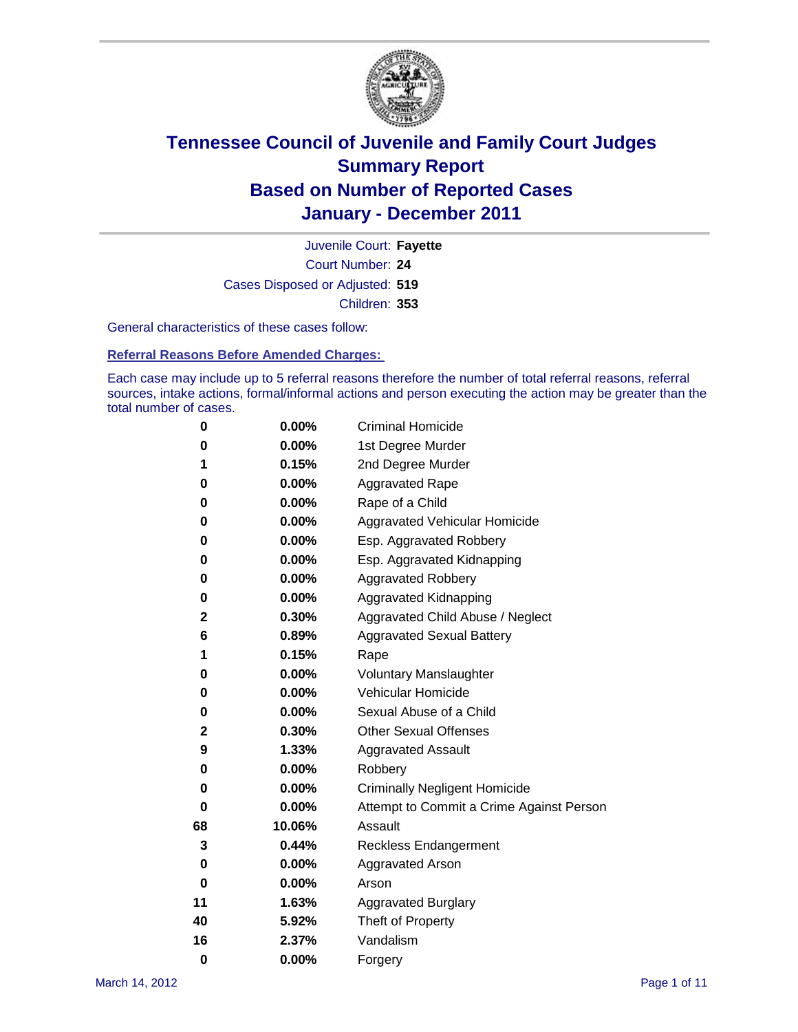

Court Number: **24** Juvenile Court: **Fayette** Cases Disposed or Adjusted: **519** Children: **353**

General characteristics of these cases follow:

**Referral Reasons Before Amended Charges:** 

Each case may include up to 5 referral reasons therefore the number of total referral reasons, referral sources, intake actions, formal/informal actions and person executing the action may be greater than the total number of cases.

| 0  | 0.00%    | <b>Criminal Homicide</b>                 |  |  |
|----|----------|------------------------------------------|--|--|
| 0  | 0.00%    | 1st Degree Murder                        |  |  |
| 1  | 0.15%    | 2nd Degree Murder                        |  |  |
| 0  | 0.00%    | <b>Aggravated Rape</b>                   |  |  |
| 0  | 0.00%    | Rape of a Child                          |  |  |
| 0  | 0.00%    | Aggravated Vehicular Homicide            |  |  |
| 0  | 0.00%    | Esp. Aggravated Robbery                  |  |  |
| 0  | 0.00%    | Esp. Aggravated Kidnapping               |  |  |
| 0  | 0.00%    | <b>Aggravated Robbery</b>                |  |  |
| 0  | 0.00%    | Aggravated Kidnapping                    |  |  |
| 2  | 0.30%    | Aggravated Child Abuse / Neglect         |  |  |
| 6  | 0.89%    | <b>Aggravated Sexual Battery</b>         |  |  |
| 1  | 0.15%    | Rape                                     |  |  |
| 0  | $0.00\%$ | <b>Voluntary Manslaughter</b>            |  |  |
| 0  | 0.00%    | Vehicular Homicide                       |  |  |
| 0  | 0.00%    | Sexual Abuse of a Child                  |  |  |
| 2  | 0.30%    | <b>Other Sexual Offenses</b>             |  |  |
| 9  | 1.33%    | <b>Aggravated Assault</b>                |  |  |
| 0  | $0.00\%$ | Robbery                                  |  |  |
| 0  | 0.00%    | <b>Criminally Negligent Homicide</b>     |  |  |
| 0  | 0.00%    | Attempt to Commit a Crime Against Person |  |  |
| 68 | 10.06%   | Assault                                  |  |  |
| 3  | 0.44%    | <b>Reckless Endangerment</b>             |  |  |
| 0  | 0.00%    | <b>Aggravated Arson</b>                  |  |  |
| 0  | 0.00%    | Arson                                    |  |  |
| 11 | 1.63%    | <b>Aggravated Burglary</b>               |  |  |
| 40 | 5.92%    | Theft of Property                        |  |  |
| 16 | 2.37%    | Vandalism                                |  |  |
| 0  | 0.00%    | Forgery                                  |  |  |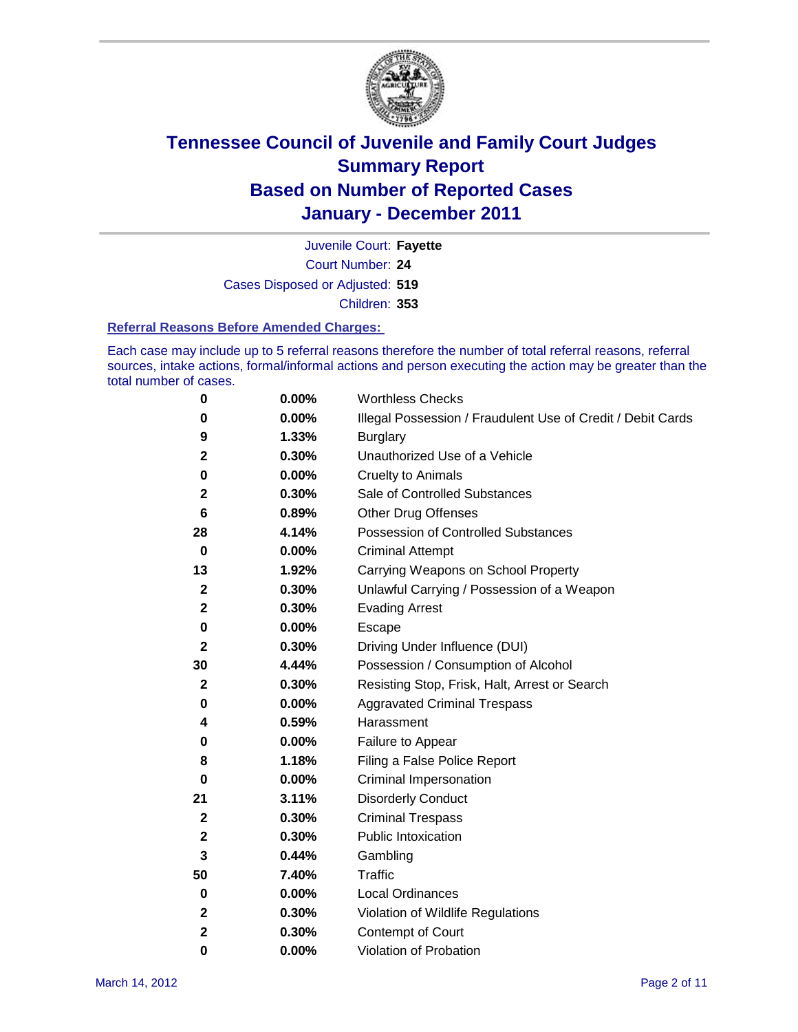

Court Number: **24** Juvenile Court: **Fayette** Cases Disposed or Adjusted: **519** Children: **353**

#### **Referral Reasons Before Amended Charges:**

Each case may include up to 5 referral reasons therefore the number of total referral reasons, referral sources, intake actions, formal/informal actions and person executing the action may be greater than the total number of cases.

| 0            | 0.00% | <b>Worthless Checks</b>                                     |
|--------------|-------|-------------------------------------------------------------|
| 0            | 0.00% | Illegal Possession / Fraudulent Use of Credit / Debit Cards |
| 9            | 1.33% | <b>Burglary</b>                                             |
| 2            | 0.30% | Unauthorized Use of a Vehicle                               |
| 0            | 0.00% | <b>Cruelty to Animals</b>                                   |
| 2            | 0.30% | Sale of Controlled Substances                               |
| 6            | 0.89% | <b>Other Drug Offenses</b>                                  |
| 28           | 4.14% | Possession of Controlled Substances                         |
| $\bf{0}$     | 0.00% | <b>Criminal Attempt</b>                                     |
| 13           | 1.92% | Carrying Weapons on School Property                         |
| 2            | 0.30% | Unlawful Carrying / Possession of a Weapon                  |
| $\mathbf{2}$ | 0.30% | <b>Evading Arrest</b>                                       |
| 0            | 0.00% | Escape                                                      |
| 2            | 0.30% | Driving Under Influence (DUI)                               |
| 30           | 4.44% | Possession / Consumption of Alcohol                         |
| 2            | 0.30% | Resisting Stop, Frisk, Halt, Arrest or Search               |
| 0            | 0.00% | <b>Aggravated Criminal Trespass</b>                         |
| 4            | 0.59% | Harassment                                                  |
| 0            | 0.00% | Failure to Appear                                           |
| 8            | 1.18% | Filing a False Police Report                                |
| 0            | 0.00% | Criminal Impersonation                                      |
| 21           | 3.11% | <b>Disorderly Conduct</b>                                   |
| 2            | 0.30% | <b>Criminal Trespass</b>                                    |
| 2            | 0.30% | <b>Public Intoxication</b>                                  |
| 3            | 0.44% | Gambling                                                    |
| 50           | 7.40% | <b>Traffic</b>                                              |
| 0            | 0.00% | <b>Local Ordinances</b>                                     |
| 2            | 0.30% | Violation of Wildlife Regulations                           |
| 2            | 0.30% | Contempt of Court                                           |
| 0            | 0.00% | Violation of Probation                                      |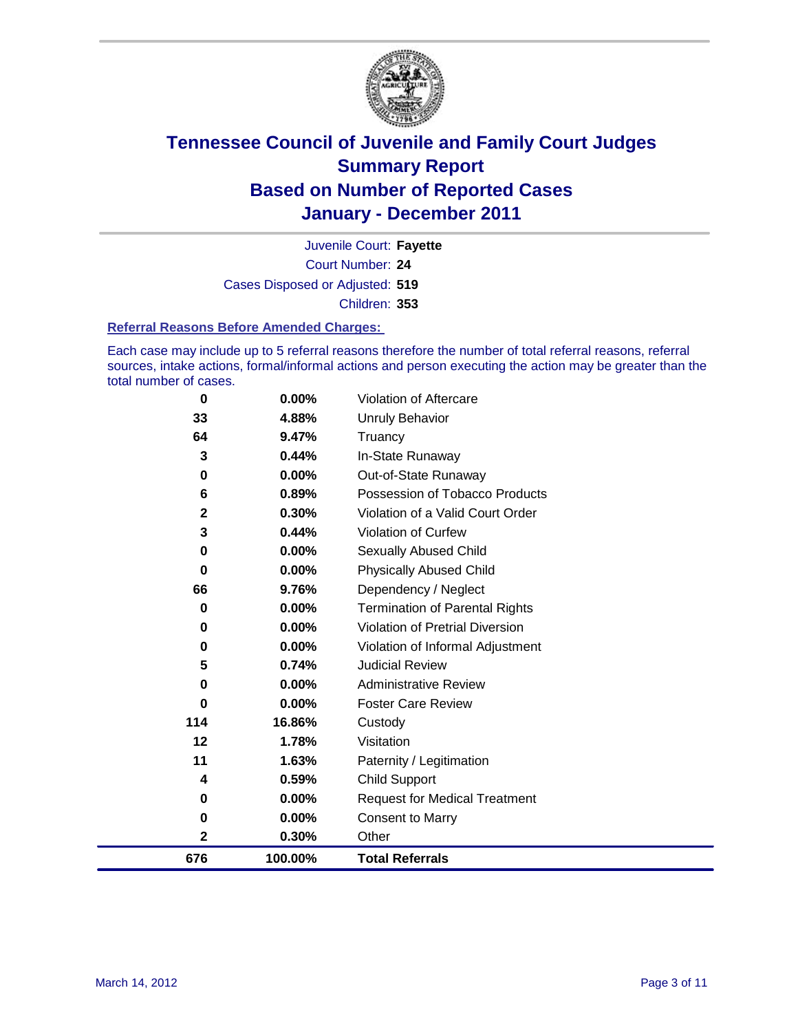

Court Number: **24** Juvenile Court: **Fayette** Cases Disposed or Adjusted: **519** Children: **353**

#### **Referral Reasons Before Amended Charges:**

Each case may include up to 5 referral reasons therefore the number of total referral reasons, referral sources, intake actions, formal/informal actions and person executing the action may be greater than the total number of cases.

| 676         | 100.00%  | <b>Total Referrals</b>                 |
|-------------|----------|----------------------------------------|
| $\mathbf 2$ | 0.30%    | Other                                  |
| 0           | 0.00%    | <b>Consent to Marry</b>                |
| 0           | 0.00%    | <b>Request for Medical Treatment</b>   |
| 4           | 0.59%    | <b>Child Support</b>                   |
| 11          | 1.63%    | Paternity / Legitimation               |
| 12          | 1.78%    | Visitation                             |
| 114         | 16.86%   | Custody                                |
| $\bf{0}$    | 0.00%    | <b>Foster Care Review</b>              |
| 0           | $0.00\%$ | <b>Administrative Review</b>           |
| 5           | 0.74%    | <b>Judicial Review</b>                 |
| $\bf{0}$    | 0.00%    | Violation of Informal Adjustment       |
| $\bf{0}$    | 0.00%    | <b>Violation of Pretrial Diversion</b> |
| $\bf{0}$    | 0.00%    | <b>Termination of Parental Rights</b>  |
| 66          | 9.76%    | Dependency / Neglect                   |
| $\bf{0}$    | 0.00%    | <b>Physically Abused Child</b>         |
| 0           | 0.00%    | <b>Sexually Abused Child</b>           |
| 3           | 0.44%    | <b>Violation of Curfew</b>             |
| $\mathbf 2$ | 0.30%    | Violation of a Valid Court Order       |
| 6           | 0.89%    | Possession of Tobacco Products         |
| $\bf{0}$    | 0.00%    | Out-of-State Runaway                   |
| 3           | 0.44%    | In-State Runaway                       |
| 64          | 9.47%    | Truancy                                |
| 33          | 4.88%    | <b>Unruly Behavior</b>                 |
| 0           | 0.00%    | Violation of Aftercare                 |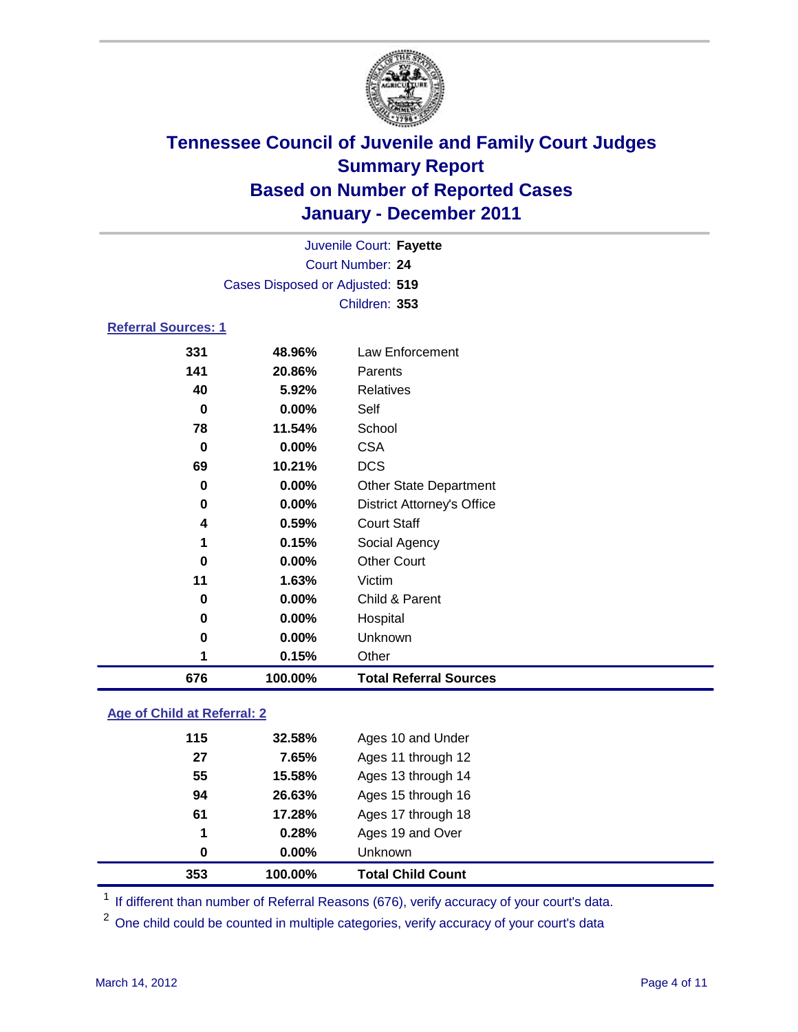

| 676                        | 100.00%                         | <b>Total Referral Sources</b>     |  |
|----------------------------|---------------------------------|-----------------------------------|--|
| 1                          | 0.15%                           | Other                             |  |
| $\bf{0}$                   | 0.00%                           | <b>Unknown</b>                    |  |
| 0                          | 0.00%                           | Hospital                          |  |
| 0                          | 0.00%                           | Child & Parent                    |  |
| 11                         | 1.63%                           | Victim                            |  |
| 0                          | 0.00%                           | <b>Other Court</b>                |  |
| 1                          | 0.15%                           | Social Agency                     |  |
| 4                          | 0.59%                           | <b>Court Staff</b>                |  |
| 0                          | 0.00%                           | <b>District Attorney's Office</b> |  |
| 0                          | 0.00%                           | <b>Other State Department</b>     |  |
| 69                         | 10.21%                          | <b>DCS</b>                        |  |
| $\mathbf 0$                | 0.00%                           | <b>CSA</b>                        |  |
| 78                         | 11.54%                          | School                            |  |
| $\mathbf 0$                | 0.00%                           | Self                              |  |
| 40                         | 5.92%                           | <b>Relatives</b>                  |  |
| 141                        | 20.86%                          | Parents                           |  |
| 331                        | 48.96%                          | <b>Law Enforcement</b>            |  |
| <b>Referral Sources: 1</b> |                                 |                                   |  |
|                            |                                 | Children: 353                     |  |
|                            | Cases Disposed or Adjusted: 519 |                                   |  |
|                            | <b>Court Number: 24</b>         |                                   |  |
|                            | Juvenile Court: Fayette         |                                   |  |
|                            |                                 |                                   |  |

### **Age of Child at Referral: 2**

| 353      | 100.00% | <b>Total Child Count</b> |  |
|----------|---------|--------------------------|--|
| $\bf{0}$ | 0.00%   | <b>Unknown</b>           |  |
| 1        | 0.28%   | Ages 19 and Over         |  |
| 61       | 17.28%  | Ages 17 through 18       |  |
| 94       | 26.63%  | Ages 15 through 16       |  |
| 55       | 15.58%  | Ages 13 through 14       |  |
| 27       | 7.65%   | Ages 11 through 12       |  |
| 115      | 32.58%  | Ages 10 and Under        |  |
|          |         |                          |  |

<sup>1</sup> If different than number of Referral Reasons (676), verify accuracy of your court's data.

<sup>2</sup> One child could be counted in multiple categories, verify accuracy of your court's data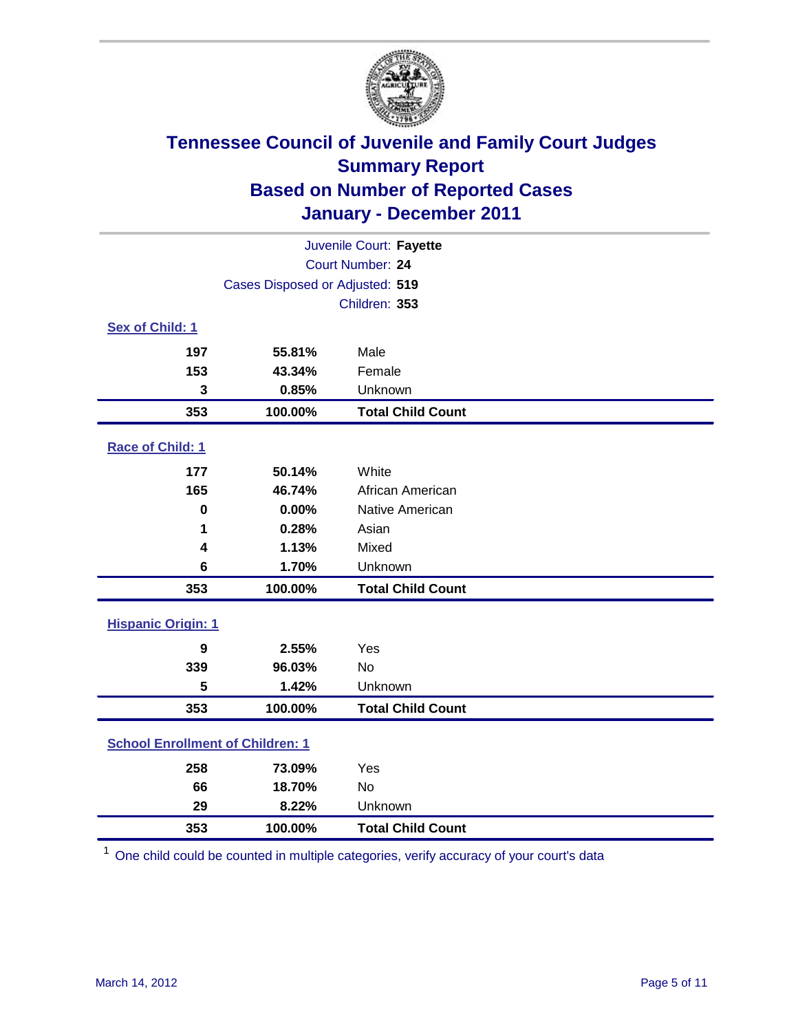

| Juvenile Court: Fayette                 |                                 |                          |  |  |
|-----------------------------------------|---------------------------------|--------------------------|--|--|
| Court Number: 24                        |                                 |                          |  |  |
|                                         | Cases Disposed or Adjusted: 519 |                          |  |  |
|                                         |                                 | Children: 353            |  |  |
| Sex of Child: 1                         |                                 |                          |  |  |
| 197                                     | 55.81%                          | Male                     |  |  |
| 153                                     | 43.34%                          | Female                   |  |  |
| 3                                       | 0.85%                           | Unknown                  |  |  |
| 353                                     | 100.00%                         | <b>Total Child Count</b> |  |  |
| Race of Child: 1                        |                                 |                          |  |  |
| 177                                     | 50.14%                          | White                    |  |  |
| 165                                     | 46.74%                          | African American         |  |  |
| $\mathbf 0$                             | 0.00%                           | Native American          |  |  |
| 1                                       | 0.28%                           | Asian                    |  |  |
| 4                                       | 1.13%                           | Mixed                    |  |  |
| 6                                       | 1.70%                           | Unknown                  |  |  |
| 353                                     | 100.00%                         | <b>Total Child Count</b> |  |  |
| <b>Hispanic Origin: 1</b>               |                                 |                          |  |  |
| 9                                       | 2.55%                           | Yes                      |  |  |
| 339                                     | 96.03%                          | <b>No</b>                |  |  |
| 5                                       | 1.42%                           | Unknown                  |  |  |
| 353                                     | 100.00%                         | <b>Total Child Count</b> |  |  |
| <b>School Enrollment of Children: 1</b> |                                 |                          |  |  |
| 258                                     | 73.09%                          | Yes                      |  |  |
| 66                                      | 18.70%                          | No                       |  |  |
| 29                                      | 8.22%                           | Unknown                  |  |  |
| 353                                     | 100.00%                         | <b>Total Child Count</b> |  |  |

One child could be counted in multiple categories, verify accuracy of your court's data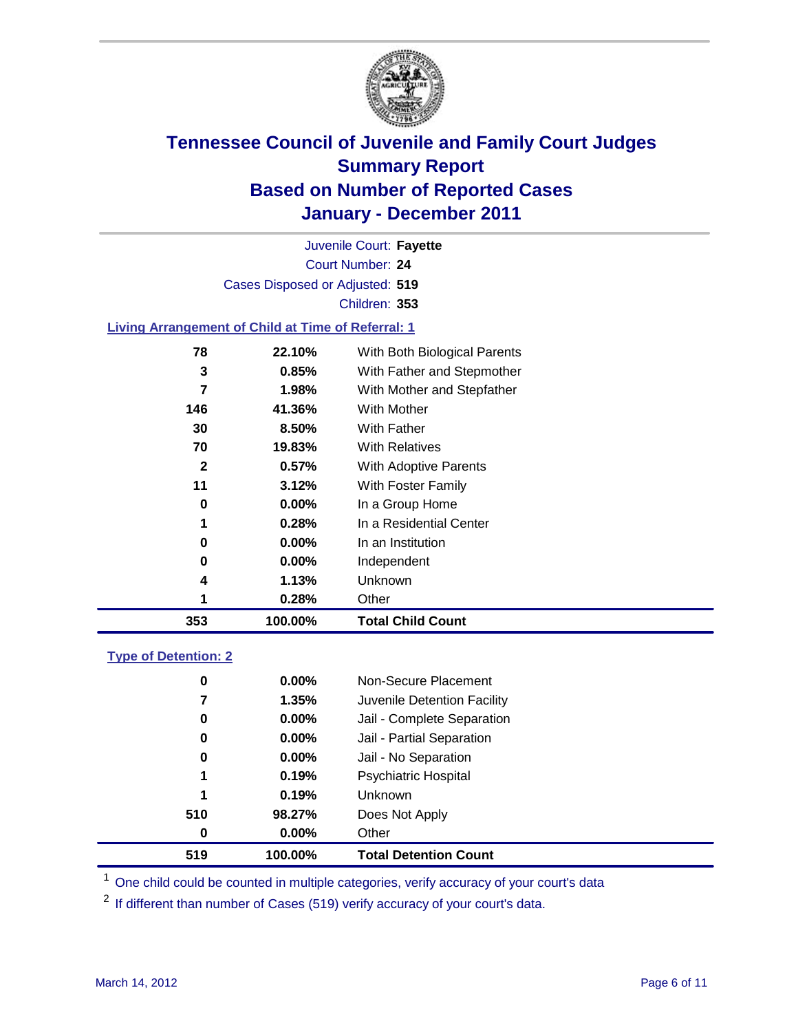

Court Number: **24** Juvenile Court: **Fayette** Cases Disposed or Adjusted: **519** Children: **353**

#### **Living Arrangement of Child at Time of Referral: 1**

| 353 | 100.00%  | <b>Total Child Count</b>     |
|-----|----------|------------------------------|
| 1   | 0.28%    | Other                        |
| 4   | 1.13%    | Unknown                      |
| 0   | $0.00\%$ | Independent                  |
| 0   | $0.00\%$ | In an Institution            |
| 1   | 0.28%    | In a Residential Center      |
| 0   | 0.00%    | In a Group Home              |
| 11  | 3.12%    | With Foster Family           |
| 2   | 0.57%    | With Adoptive Parents        |
| 70  | 19.83%   | <b>With Relatives</b>        |
| 30  | 8.50%    | With Father                  |
| 146 | 41.36%   | With Mother                  |
| 7   | 1.98%    | With Mother and Stepfather   |
| 3   | 0.85%    | With Father and Stepmother   |
| 78  | 22.10%   | With Both Biological Parents |
|     |          |                              |

#### **Type of Detention: 2**

| 519 | 100.00%  | <b>Total Detention Count</b> |  |
|-----|----------|------------------------------|--|
| 0   | 0.00%    | Other                        |  |
| 510 | 98.27%   | Does Not Apply               |  |
| 1   | 0.19%    | Unknown                      |  |
| 1   | 0.19%    | Psychiatric Hospital         |  |
| 0   | 0.00%    | Jail - No Separation         |  |
| 0   | $0.00\%$ | Jail - Partial Separation    |  |
| 0   | $0.00\%$ | Jail - Complete Separation   |  |
| 7   | 1.35%    | Juvenile Detention Facility  |  |
| 0   | $0.00\%$ | Non-Secure Placement         |  |
|     |          |                              |  |

<sup>1</sup> One child could be counted in multiple categories, verify accuracy of your court's data

<sup>2</sup> If different than number of Cases (519) verify accuracy of your court's data.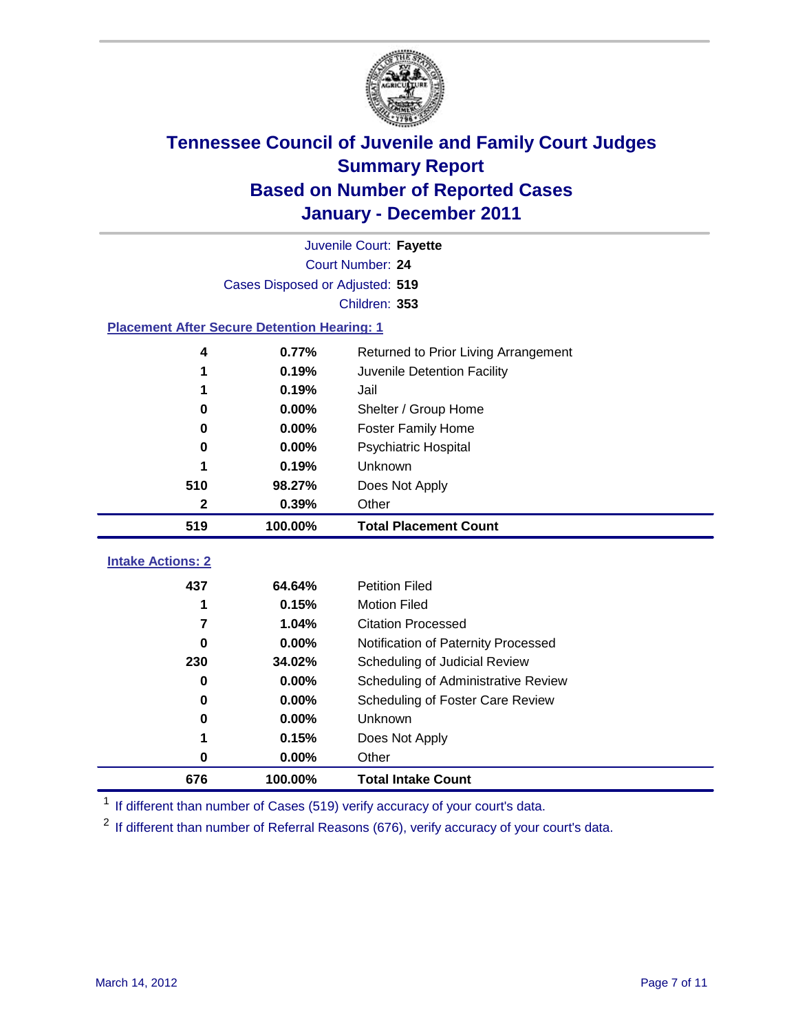

|                                                    | Juvenile Court: Fayette         |                                      |  |  |  |
|----------------------------------------------------|---------------------------------|--------------------------------------|--|--|--|
|                                                    | Court Number: 24                |                                      |  |  |  |
|                                                    | Cases Disposed or Adjusted: 519 |                                      |  |  |  |
|                                                    |                                 | Children: 353                        |  |  |  |
| <b>Placement After Secure Detention Hearing: 1</b> |                                 |                                      |  |  |  |
| 4                                                  | 0.77%                           | Returned to Prior Living Arrangement |  |  |  |
| 1                                                  | 0.19%                           | Juvenile Detention Facility          |  |  |  |
| 1                                                  | 0.19%                           | Jail                                 |  |  |  |
| 0                                                  | 0.00%                           | Shelter / Group Home                 |  |  |  |
| 0                                                  | 0.00%                           | <b>Foster Family Home</b>            |  |  |  |
| 0                                                  | 0.00%                           | Psychiatric Hospital                 |  |  |  |
|                                                    | 0.19%                           | Unknown                              |  |  |  |
| 510                                                | 98.27%                          | Does Not Apply                       |  |  |  |
| 2                                                  | 0.39%                           | Other                                |  |  |  |
| 519                                                | 100.00%                         | <b>Total Placement Count</b>         |  |  |  |
| <b>Intake Actions: 2</b>                           |                                 |                                      |  |  |  |
|                                                    |                                 |                                      |  |  |  |
| 437                                                | 64.64%                          | <b>Petition Filed</b>                |  |  |  |
| 1                                                  | 0.15%                           | <b>Motion Filed</b>                  |  |  |  |
| 7                                                  | 1.04%                           | <b>Citation Processed</b>            |  |  |  |
| 0                                                  | 0.00%                           | Notification of Paternity Processed  |  |  |  |
| 230                                                | 34.02%                          | Scheduling of Judicial Review        |  |  |  |
| 0                                                  | 0.00%                           | Scheduling of Administrative Review  |  |  |  |
| 0                                                  | $0.00\%$                        | Scheduling of Foster Care Review     |  |  |  |
| 0                                                  | 0.00%                           | Unknown                              |  |  |  |
| 1                                                  | 0.15%                           | Does Not Apply                       |  |  |  |
| 0                                                  | 0.00%                           | Other                                |  |  |  |
| 676                                                | 100.00%                         | <b>Total Intake Count</b>            |  |  |  |

<sup>1</sup> If different than number of Cases (519) verify accuracy of your court's data.

<sup>2</sup> If different than number of Referral Reasons (676), verify accuracy of your court's data.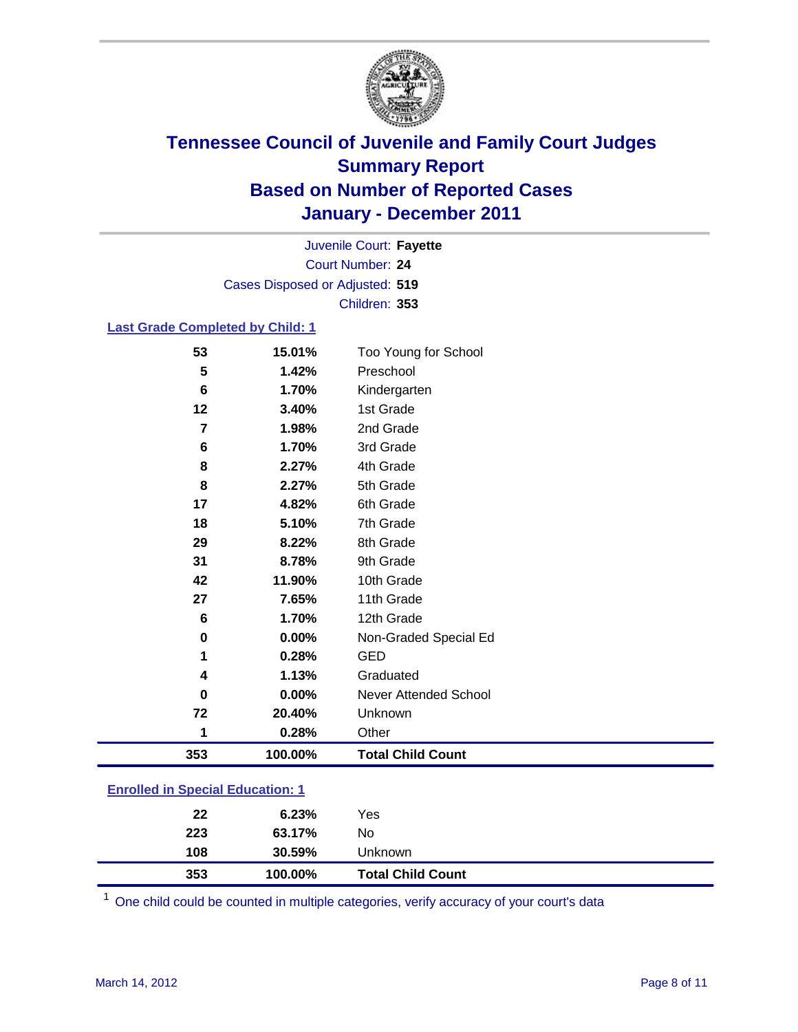

Court Number: **24** Juvenile Court: **Fayette** Cases Disposed or Adjusted: **519** Children: **353**

### **Last Grade Completed by Child: 1**

| 53                                      | 15.01%  | Too Young for School         |  |
|-----------------------------------------|---------|------------------------------|--|
| 5                                       | 1.42%   | Preschool                    |  |
| 6                                       | 1.70%   | Kindergarten                 |  |
| 12                                      | 3.40%   | 1st Grade                    |  |
| 7                                       | 1.98%   | 2nd Grade                    |  |
| 6                                       | 1.70%   | 3rd Grade                    |  |
| 8                                       | 2.27%   | 4th Grade                    |  |
| 8                                       | 2.27%   | 5th Grade                    |  |
| 17                                      | 4.82%   | 6th Grade                    |  |
| 18                                      | 5.10%   | 7th Grade                    |  |
| 29                                      | 8.22%   | 8th Grade                    |  |
| 31                                      | 8.78%   | 9th Grade                    |  |
| 42                                      | 11.90%  | 10th Grade                   |  |
| 27                                      | 7.65%   | 11th Grade                   |  |
| $\bf 6$                                 | 1.70%   | 12th Grade                   |  |
| 0                                       | 0.00%   | Non-Graded Special Ed        |  |
| 1                                       | 0.28%   | <b>GED</b>                   |  |
| 4                                       | 1.13%   | Graduated                    |  |
| 0                                       | 0.00%   | <b>Never Attended School</b> |  |
| 72                                      | 20.40%  | Unknown                      |  |
| 1                                       | 0.28%   | Other                        |  |
| 353                                     | 100.00% | <b>Total Child Count</b>     |  |
|                                         |         |                              |  |
| <b>Enrolled in Special Education: 1</b> |         |                              |  |

| 353 | 100.00% | <b>Total Child Count</b> |  |
|-----|---------|--------------------------|--|
| 108 | 30.59%  | Unknown                  |  |
| 223 | 63.17%  | No                       |  |
| 22  | 6.23%   | Yes                      |  |
|     |         |                          |  |

One child could be counted in multiple categories, verify accuracy of your court's data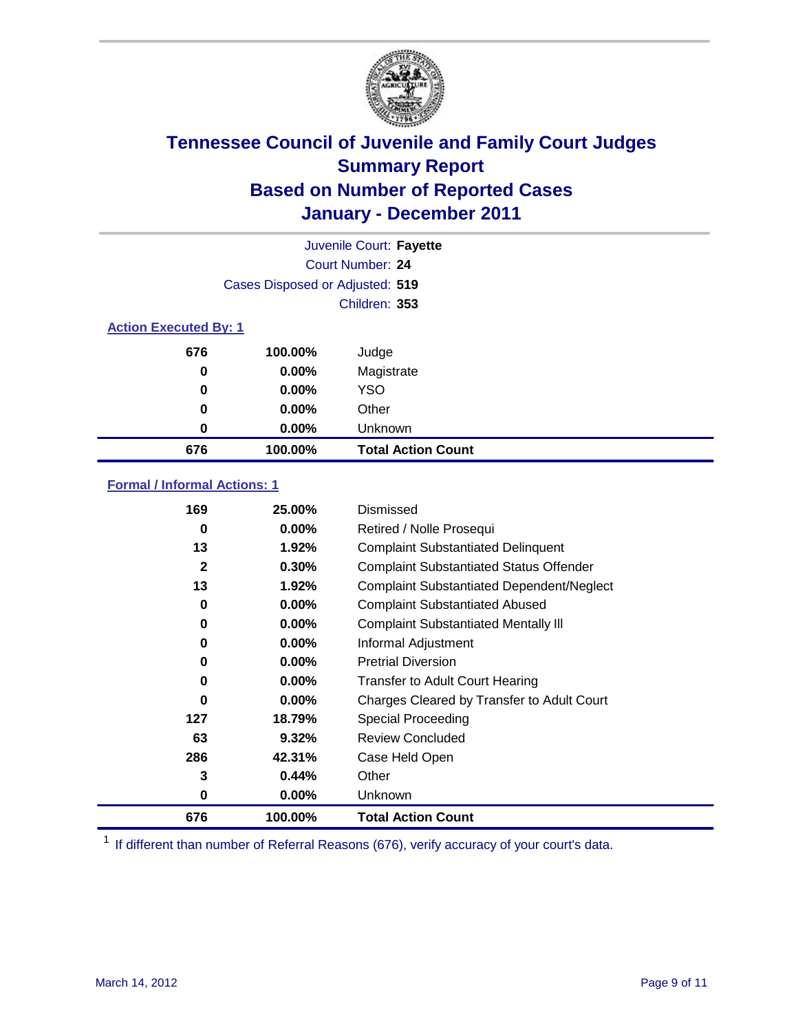

|                              |                                 | Juvenile Court: Fayette   |
|------------------------------|---------------------------------|---------------------------|
|                              |                                 | Court Number: 24          |
|                              | Cases Disposed or Adjusted: 519 |                           |
|                              |                                 | Children: 353             |
| <b>Action Executed By: 1</b> |                                 |                           |
| 676                          | 100.00%                         | Judge                     |
| 0                            | $0.00\%$                        | Magistrate                |
| 0                            | $0.00\%$                        | <b>YSO</b>                |
| 0                            | 0.00%                           | Other                     |
| 0                            | 0.00%                           | Unknown                   |
| 676                          | 100.00%                         | <b>Total Action Count</b> |

### **Formal / Informal Actions: 1**

| 169 | 25.00%   | Dismissed                                        |
|-----|----------|--------------------------------------------------|
| 0   | $0.00\%$ | Retired / Nolle Prosequi                         |
| 13  | 1.92%    | <b>Complaint Substantiated Delinquent</b>        |
| 2   | 0.30%    | <b>Complaint Substantiated Status Offender</b>   |
| 13  | 1.92%    | <b>Complaint Substantiated Dependent/Neglect</b> |
| 0   | 0.00%    | <b>Complaint Substantiated Abused</b>            |
| 0   | $0.00\%$ | <b>Complaint Substantiated Mentally III</b>      |
| 0   | $0.00\%$ | Informal Adjustment                              |
| 0   | $0.00\%$ | <b>Pretrial Diversion</b>                        |
| 0   | $0.00\%$ | <b>Transfer to Adult Court Hearing</b>           |
| 0   | $0.00\%$ | Charges Cleared by Transfer to Adult Court       |
| 127 | 18.79%   | Special Proceeding                               |
| 63  | 9.32%    | <b>Review Concluded</b>                          |
| 286 | 42.31%   | Case Held Open                                   |
| 3   | 0.44%    | Other                                            |
| 0   | $0.00\%$ | <b>Unknown</b>                                   |
| 676 | 100.00%  | <b>Total Action Count</b>                        |

<sup>1</sup> If different than number of Referral Reasons (676), verify accuracy of your court's data.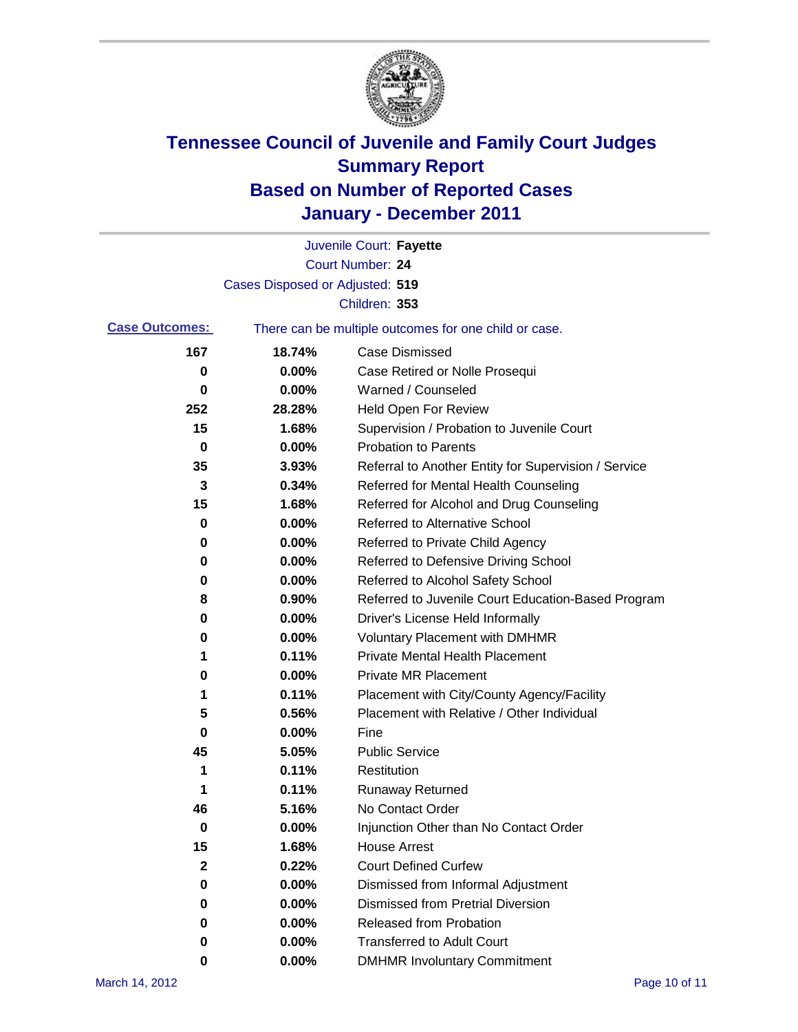

|                       |                                 | Juvenile Court: Fayette                               |
|-----------------------|---------------------------------|-------------------------------------------------------|
|                       |                                 | <b>Court Number: 24</b>                               |
|                       | Cases Disposed or Adjusted: 519 |                                                       |
|                       |                                 | Children: 353                                         |
| <b>Case Outcomes:</b> |                                 | There can be multiple outcomes for one child or case. |
| 167                   | 18.74%                          | <b>Case Dismissed</b>                                 |
| 0                     | 0.00%                           | Case Retired or Nolle Prosequi                        |
| 0                     | 0.00%                           | Warned / Counseled                                    |
| 252                   | 28.28%                          | Held Open For Review                                  |
| 15                    | 1.68%                           | Supervision / Probation to Juvenile Court             |
| 0                     | 0.00%                           | <b>Probation to Parents</b>                           |
| 35                    | 3.93%                           | Referral to Another Entity for Supervision / Service  |
| 3                     | 0.34%                           | Referred for Mental Health Counseling                 |
| 15                    | 1.68%                           | Referred for Alcohol and Drug Counseling              |
| 0                     | 0.00%                           | <b>Referred to Alternative School</b>                 |
| 0                     | 0.00%                           | Referred to Private Child Agency                      |
| 0                     | 0.00%                           | Referred to Defensive Driving School                  |
| 0                     | 0.00%                           | Referred to Alcohol Safety School                     |
| 8                     | 0.90%                           | Referred to Juvenile Court Education-Based Program    |
| 0                     | 0.00%                           | Driver's License Held Informally                      |
| 0                     | 0.00%                           | <b>Voluntary Placement with DMHMR</b>                 |
| 1                     | 0.11%                           | <b>Private Mental Health Placement</b>                |
| 0                     | 0.00%                           | <b>Private MR Placement</b>                           |
| 1                     | 0.11%                           | Placement with City/County Agency/Facility            |
| 5                     | 0.56%                           | Placement with Relative / Other Individual            |
| 0                     | 0.00%                           | Fine                                                  |
| 45                    | 5.05%                           | <b>Public Service</b>                                 |
| 1                     | 0.11%                           | Restitution                                           |
| 1                     | 0.11%                           | <b>Runaway Returned</b>                               |
| 46                    | 5.16%                           | No Contact Order                                      |
| $\pmb{0}$             | 0.00%                           | Injunction Other than No Contact Order                |
| 15                    | 1.68%                           | <b>House Arrest</b>                                   |
| $\mathbf{2}$          | 0.22%                           | <b>Court Defined Curfew</b>                           |
| 0                     | $0.00\%$                        | Dismissed from Informal Adjustment                    |
| 0                     | $0.00\%$                        | <b>Dismissed from Pretrial Diversion</b>              |
| 0                     | 0.00%                           | Released from Probation                               |
| 0                     | 0.00%                           | <b>Transferred to Adult Court</b>                     |
| 0                     | 0.00%                           | <b>DMHMR Involuntary Commitment</b>                   |